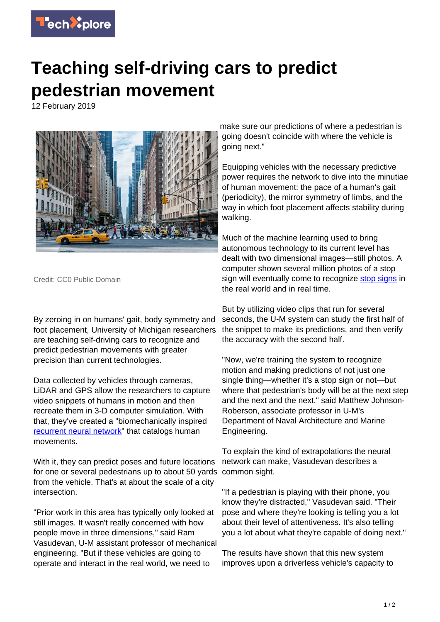

## **Teaching self-driving cars to predict pedestrian movement**

12 February 2019



Credit: CC0 Public Domain

By zeroing in on humans' gait, body symmetry and foot placement, University of Michigan researchers are teaching self-driving cars to recognize and predict pedestrian movements with greater precision than current technologies.

Data collected by vehicles through cameras, LiDAR and GPS allow the researchers to capture video snippets of humans in motion and then recreate them in 3-D computer simulation. With that, they've created a "biomechanically inspired [recurrent neural network"](https://techxplore.com/tags/recurrent+neural+network/) that catalogs human movements.

With it, they can predict poses and future locations for one or several pedestrians up to about 50 yards from the vehicle. That's at about the scale of a city intersection.

"Prior work in this area has typically only looked at still images. It wasn't really concerned with how people move in three dimensions," said Ram Vasudevan, U-M assistant professor of mechanical engineering. "But if these vehicles are going to operate and interact in the real world, we need to

make sure our predictions of where a pedestrian is going doesn't coincide with where the vehicle is going next."

Equipping vehicles with the necessary predictive power requires the network to dive into the minutiae of human movement: the pace of a human's gait (periodicity), the mirror symmetry of limbs, and the way in which foot placement affects stability during walking.

Much of the machine learning used to bring autonomous technology to its current level has dealt with two dimensional images—still photos. A computer shown several million photos of a stop sign will eventually come to recognize [stop signs](https://techxplore.com/tags/stop+signs/) in the real world and in real time.

But by utilizing video clips that run for several seconds, the U-M system can study the first half of the snippet to make its predictions, and then verify the accuracy with the second half.

"Now, we're training the system to recognize motion and making predictions of not just one single thing—whether it's a stop sign or not—but where that pedestrian's body will be at the next step and the next and the next," said Matthew Johnson-Roberson, associate professor in U-M's Department of Naval Architecture and Marine Engineering.

To explain the kind of extrapolations the neural network can make, Vasudevan describes a common sight.

"If a pedestrian is playing with their phone, you know they're distracted," Vasudevan said. "Their pose and where they're looking is telling you a lot about their level of attentiveness. It's also telling you a lot about what they're capable of doing next."

The results have shown that this new system improves upon a driverless vehicle's capacity to